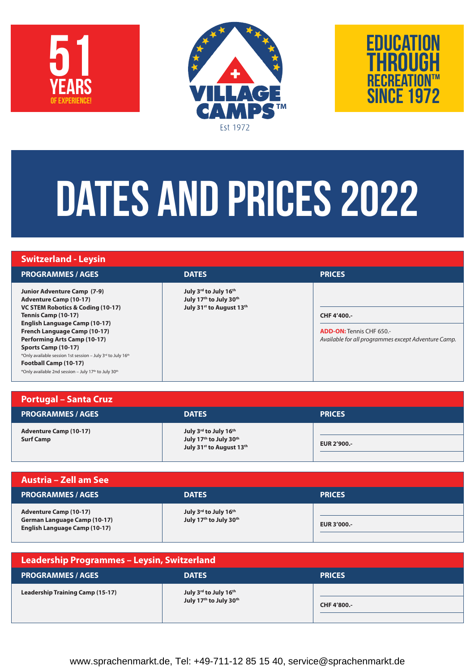





# DATES AND PRICES 2022

| <b>Switzerland - Leysin</b>                                                                                                                                                                                                                                                                                                                                                                                           |                                                                             |                                                                                                        |
|-----------------------------------------------------------------------------------------------------------------------------------------------------------------------------------------------------------------------------------------------------------------------------------------------------------------------------------------------------------------------------------------------------------------------|-----------------------------------------------------------------------------|--------------------------------------------------------------------------------------------------------|
| <b>PROGRAMMES / AGES</b>                                                                                                                                                                                                                                                                                                                                                                                              | <b>DATES</b>                                                                | <b>PRICES</b>                                                                                          |
| <b>Junior Adventure Camp (7-9)</b><br><b>Adventure Camp (10-17)</b><br>VC STEM Robotics & Coding (10-17)<br>Tennis Camp (10-17)<br><b>English Language Camp (10-17)</b><br>French Language Camp (10-17)<br><b>Performing Arts Camp (10-17)</b><br>Sports Camp (10-17)<br>*Only available session 1st session - July 3rd to July 16th<br>Football Camp (10-17)<br>*Only available 2nd session - July 17th to July 30th | July 3rd to July 16th<br>July 17th to July 30th<br>July 31st to August 13th | CHF 4'400 .-<br><b>ADD-ON: Tennis CHF 650.-</b><br>Available for all programmes except Adventure Camp. |

| <b>Portugal - Santa Cruz</b>                      |                                                                             |                    |
|---------------------------------------------------|-----------------------------------------------------------------------------|--------------------|
| <b>PROGRAMMES / AGES</b>                          | <b>DATES</b>                                                                | <b>PRICES</b>      |
| <b>Adventure Camp (10-17)</b><br><b>Surf Camp</b> | July 3rd to July 16th<br>July 17th to July 30th<br>July 31st to August 13th | <b>EUR 2'900.-</b> |

| <b>Austria - Zell am See</b>                                                                                 |                                                 |               |
|--------------------------------------------------------------------------------------------------------------|-------------------------------------------------|---------------|
| <b>PROGRAMMES / AGES</b>                                                                                     | <b>DATES</b>                                    | <b>PRICES</b> |
| <b>Adventure Camp (10-17)</b><br><b>German Language Camp (10-17)</b><br><b>English Language Camp (10-17)</b> | July 3rd to July 16th<br>July 17th to July 30th | EUR 3'000 .-  |

| Leadership Programmes - Leysin, Switzerland |                                                 |               |  |  |
|---------------------------------------------|-------------------------------------------------|---------------|--|--|
| <b>PROGRAMMES / AGES</b>                    | <b>DATES</b>                                    | <b>PRICES</b> |  |  |
| <b>Leadership Training Camp (15-17)</b>     | July 3rd to July 16th<br>July 17th to July 30th | CHF 4'800 .-  |  |  |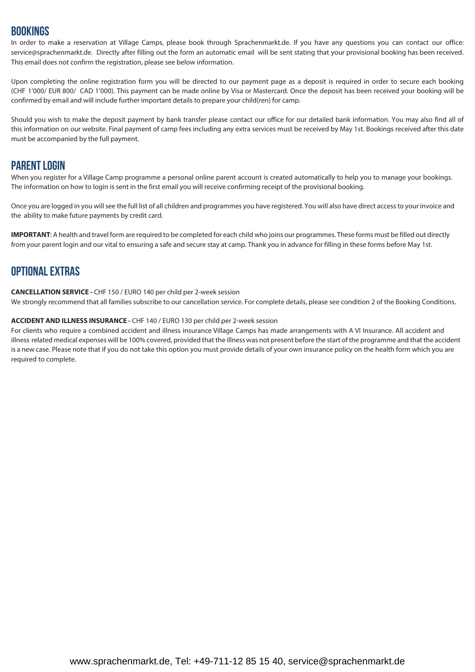## BookingS

In order to make a reservation at Village Camps, please book through Sprachenmarkt.de. If you have any questions you can contact our office: service@sprachenmarkt.de. Directly after filling out the form an automatic email will be sent stating that your provisional booking has been received. This email does not confirm the registration, please see below information.

Upon completing the online registration form you will be directed to our payment page as a deposit is required in order to secure each booking (CHF 1'000/ EUR 800/ CAD 1'000). This payment can be made online by Visa or Mastercard. Once the deposit has been received your booking will be confirmed by email and will include further important details to prepare your child(ren) for camp.

Should you wish to make the deposit payment by bank transfer please contact our office for our detailed bank information. You may also find all of this information on our website. Final payment of camp fees including any extra services must be received by May 1st. Bookings received after this date must be accompanied by the full payment.

## PARENT LOGIN

When you register for a Village Camp programme a personal online parent account is created automatically to help you to manage your bookings. The information on how to login is sent in the first email you will receive confirming receipt of the provisional booking.

Once you are logged in you will see the full list of all children and programmes you have registered. You will also have direct access to your invoice and the ability to make future payments by credit card.

**IMPORTANT**: A health and travel form are required to be completed for each child who joins our programmes. These forms must be filled out directly from your parent login and our vital to ensuring a safe and secure stay at camp. Thank you in advance for filling in these forms before May 1st.

## OPTIONAL EXTRAS

**CANCELLATION SERVICE -** CHF 150 / EURO 140 per child per 2-week session

We strongly recommend that all families subscribe to our cancellation service. For complete details, please see condition 2 of the Booking Conditions.

#### **ACCIDENT AND ILLNESS INSURANCE -** CHF 140 / EURO 130 per child per 2-week session

For clients who require a combined accident and illness insurance Village Camps has made arrangements with A VI Insurance. All accident and illness related medical expenses will be 100% covered, provided that the illness was not present before the start of the programme and that the accident is a new case. Please note that if you do not take this option you must provide details of your own insurance policy on the health form which you are required to complete.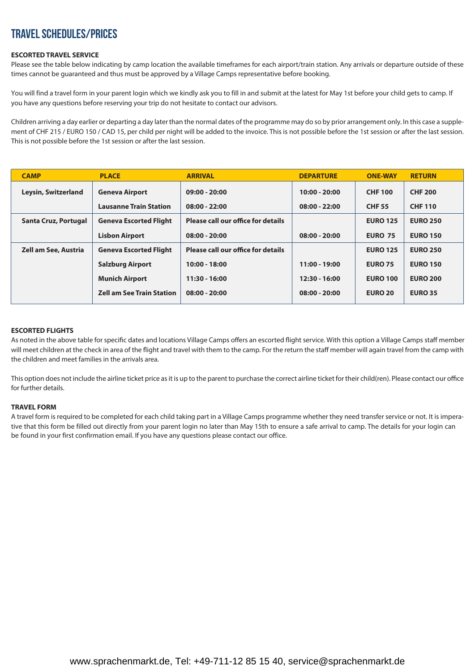# TRAVEL SCHEDULES/PRICES

#### **ESCORTED TRAVEL SERVICE**

Please see the table below indicating by camp location the available timeframes for each airport/train station. Any arrivals or departure outside of these times cannot be guaranteed and thus must be approved by a Village Camps representative before booking.

You will find a travel form in your parent login which we kindly ask you to fill in and submit at the latest for May 1st before your child gets to camp. If you have any questions before reserving your trip do not hesitate to contact our advisors.

Children arriving a day earlier or departing a day later than the normal dates of the programme may do so by prior arrangement only. In this case a supplement of CHF 215 / EURO 150 / CAD 15, per child per night will be added to the invoice. This is not possible before the 1st session or after the last session. This is not possible before the 1st session or after the last session.

| <b>CAMP</b>                 | <b>PLACE</b>                     | <b>ARRIVAL</b>                     | <b>DEPARTURE</b> | <b>ONE-WAY</b>  | <b>RETURN</b>   |
|-----------------------------|----------------------------------|------------------------------------|------------------|-----------------|-----------------|
| Leysin, Switzerland         | <b>Geneva Airport</b>            | $09:00 - 20:00$                    | $10:00 - 20:00$  | <b>CHF 100</b>  | <b>CHF 200</b>  |
|                             | <b>Lausanne Train Station</b>    | $08:00 - 22:00$                    | $08:00 - 22:00$  | <b>CHF 55</b>   | <b>CHF 110</b>  |
| Santa Cruz, Portugal        | <b>Geneva Escorted Flight</b>    | Please call our office for details |                  | <b>EURO 125</b> | <b>EURO 250</b> |
|                             | <b>Lisbon Airport</b>            | $08:00 - 20:00$                    | $08:00 - 20:00$  | <b>EURO 75</b>  | <b>EURO 150</b> |
| <b>Zell am See, Austria</b> | <b>Geneva Escorted Flight</b>    | Please call our office for details |                  | <b>EURO 125</b> | <b>EURO 250</b> |
|                             | <b>Salzburg Airport</b>          | $10:00 - 18:00$                    | $11:00 - 19:00$  | <b>EURO 75</b>  | <b>EURO 150</b> |
|                             | <b>Munich Airport</b>            | $11:30 - 16:00$                    | $12:30 - 16:00$  | <b>EURO 100</b> | <b>EURO 200</b> |
|                             | <b>Zell am See Train Station</b> | $08:00 - 20:00$                    | $08:00 - 20:00$  | <b>EURO 20</b>  | <b>EURO 35</b>  |

#### **ESCORTED FLIGHTS**

As noted in the above table for specific dates and locations Village Camps offers an escorted flight service. With this option a Village Camps staff member will meet children at the check in area of the flight and travel with them to the camp. For the return the staff member will again travel from the camp with the children and meet families in the arrivals area.

This option does not include the airline ticket price as it is up to the parent to purchase the correct airline ticket for their child(ren). Please contact our office for further details.

#### **TRAVEL FORM**

A travel form is required to be completed for each child taking part in a Village Camps programme whether they need transfer service or not. It is imperative that this form be filled out directly from your parent login no later than May 15th to ensure a safe arrival to camp. The details for your login can be found in your first confirmation email. If you have any questions please contact our office.